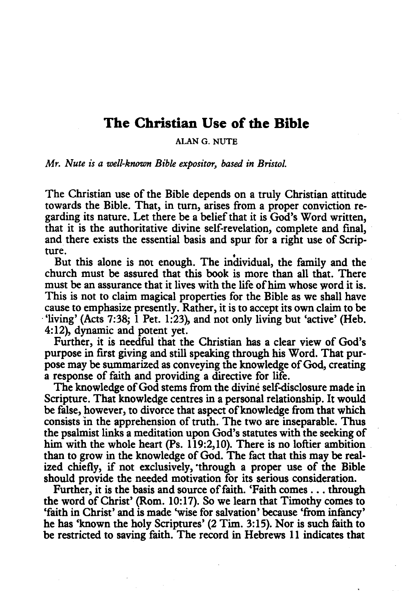## **The Christian Use of the Bible**

ALAN G. NUTE

*Mr. Nute is a well-known Bible expositor, based in Bristol.* 

The Christian use of the Bible depends on a truly Christian attitude towards the Bible. That, in turn, arises from a proper conviction regarding its nature. Let there be a belief that it is God's Word written, that it is the authoritative divine self-revelation, complete and fmal, and there exists the essential basis and spur for a right use of Scripture.

But this alone is not enough. The individual, the family and the church must be assured that this book is more than all that. There must be an assurance that it lives with the life of him whose word it is. This is not to claim magical properties for the Bible as we shall have cause to emphasize presently. Rather, it is to accept its own claim to be ·'living' (Acts 7:38; 1 Pet. 1:23), and not only living but 'active' (Heb. 4: 12), dynamic and potent yet.

Further, it is needful that the Christian has a clear view of God's purpose in first giving and still speaking through his Word. That purpose may be summarized as conveying the knowledge of God, creating a response of faith and providing a directive for life.

The knowledge of God stems from the divine self-disclosure made in Scripture. That knowledge centres in a personal relationship. It would be false, however, to divorce that aspect of knowledge from that which consists in the apprehension of truth. The two are inseparable. Thus the psalmist links a meditation upon God's statutes with the seeking of him with the whole heart (Ps. 119:2,10). There is no loftier ambition than to grow in the knowledge of God. The fact that this may be realized chiefly, if not exclusively, •through a proper use of the Bible should provide the needed motivation for its serious consideration.

Further, it is the basis and source of faith. 'Faith comes ... through the word of Christ' (Rom. 10: 17). So we learn that Timothy comes to 'faith in Christ' and is made 'wise for salvation' because 'from infancy' he has 'known the holy Scriptures' (2 Tim. 3:15). Nor is such faith to be restricted to saving faith. The record in Hebrews 11 indicates that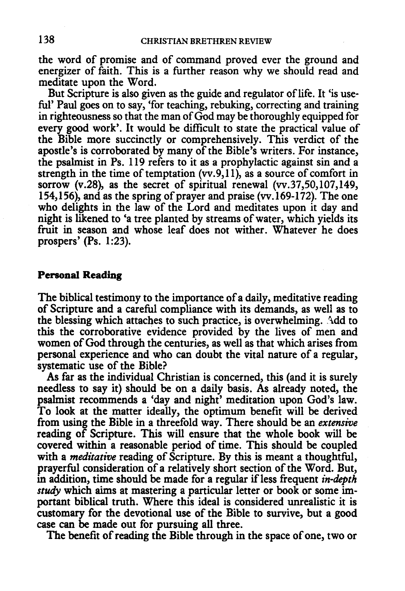the word of promise and of command proved ever the ground and energizer of faith. This is a further reason why we should read and meditate upon the Word.

But Scripture is also given as the guide and regulator of life. It 'is useful' Paul goes on to say, 'for teaching, rebuking, correcting and training in righteousness so that the man of God may be thoroughly equipped for every good work'. It would be difficult to state the practical value of the Bible more succinctly or comprehensively. This verdict of the apostle's is corroborated by many of the Bible's writers. For instance, the psalmist in Ps. 119 refers to it as a prophylactic against sin and a strength in the time of temptation  $(vv.9, 11)$ , as a source of comfort in sorrow  $(v.28)$ , as the secret of spiritual renewal  $(vv.37,50,107,149)$ , 154,156), and as the spring of prayer and praise (vv.169-172). The one who delights in the law of the Lord and meditates upon it day and night is likened to 'a tree planted by streams of water, which yields its fruit in season and whose leaf does not wither. Whatever he does prospers' (Ps. 1:23).

## **Personal Reading**

The biblical testimony to the importance of a daily, meditative reading of Scripture and a careful compliance with its demands, as well as to the blessing which attaches to such practice, is overwhelming. Add to this the corroborative evidence provided by the lives of men and women of God through the centuries, as well as that which arises from personal experience and who can doubt the vital nature of a regular, systematic use of the Bible?

As far as the individual Christian is concerned, this (and it is surely needless to say it) should be on a daily basis. As already noted, the psalmist recommends a 'day and night' meditation upon God's law. To look at the matter ideally, the optimum benefit will be derived from using the Bible in a threefold way. There should be an *extensive*  reading of Scripture. This will ensure that the whole book will be covered within a reasonable period of time. This should be coupled with a *meditative* reading of Scripture. By this is meant a thoughtful, prayerful consideration of a relatively short section of the Word. But, in addition, time should be made for a regular if less frequent *in-depth study* which aims at mastering a particular letter or book or some important biblical truth. Where this ideal is considered unrealistic it is customary for the devotional use of the Bible to survive, but a good case can be made out for pursuing all three.

The benefit of reading the Bible through in the space of one, two or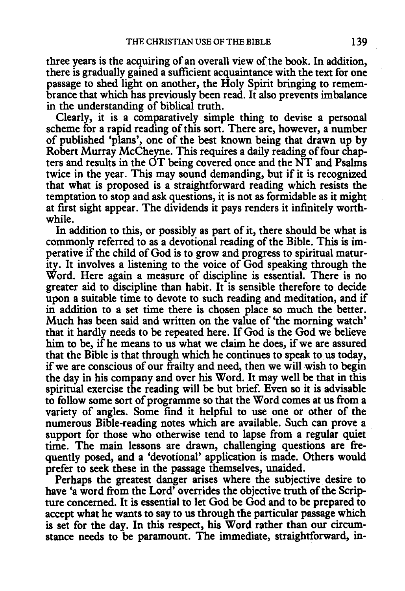three years is the acquiring of an overall view of the book. In addition, there is gradually gained a sufficient acquaintance with the text for one passage to shed light on another, the Holy Spirit bringing to remembrance that which has previously been read. It also prevents imbalance in the understanding of biblical truth.

Clearly, it is a comparatively simple thing to devise a personal scheme for a rapid reading of this sort. There are, however, a number of published 'plans', one of the best known being that drawn up by Robert Murray McCheyne. This requires a daily reading of four chapters and results in the OT being covered once and the NT and Psalms twice in the year. This may sound demanding, but if it is recognized that what is proposed is a straightforward reading which resists the temptation to stop and ask questions, it is not as formidable as it might at first sight appear. The dividends it pays renders it infinitely worthwhile.

In addition to this, or possibly as part of it, there should be what is commonly referred to as a devotional reading of the Bible. This is imperative if the child of God is to grow and progress to spiritual maturity. It involves a listening to the voice of God speaking through the Word. Here again a measure of discipline is essential. There is no greater aid to discipline than habit. It is sensible therefore to decide upon a suitable time to devote to such reading and meditation, and if in addition to a set time there is chosen place so much the better. Much has been said and written on the value of 'the morning watch' that it hardly needs to be repeated here. If God is the God we believe him to be, if he means to us what we claim he does, if we are assured that the Bible is that through which he continues to speak to us today, if we are conscious of our frailty and need, then we will wish to begin the day in his company and over his Word. It may well be that in this spiritual exercise the reading will be but brief. Even so it is advisable to follow some sort of programme so that the Word comes at us from a variety of angles. Some find it helpful to use one or other of the numerous Bible-reading notes which are available. Such can prove a support for those who otherwise tend to lapse from a regular quiet time. The main lessons are drawn, challenging questions are frequently posed, and a 'devotional' application is made. Others would prefer to seek these in the passage themselves, unaided.

Perhaps the greatest danger arises where the subjective desire to have 'a word from the Lord' overrides the objective truth of the Scripture concerned. It is essential to let God be God and to be prepared to accept what he wants to say to us through the particular passage which is set for the day. In this respect, his Word rather than our circumstance needs to be paramount. The immediate, straightforward, in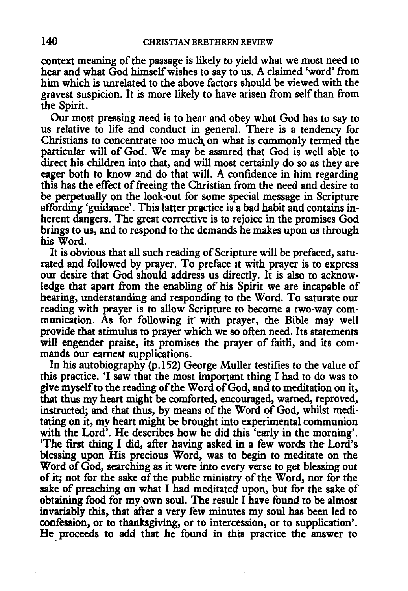context meaning of the passage is likely to yield what we most need to hear and what God himself wishes to say to us. A claimed 'word' from him which is unrelated to the above factors should be viewed with the gravest suspicion. It is more likely to have arisen from self than from the Spirit.

Our most pressing need is to hear and obey what God has to say to us relative to life and conduct in general. There is a tendency for Christians to concentrate too much on what is commonly termed the particular will of God. We may be assured that God is well able to direct his children into that, and will most certainly do so as they are eager both to know and do that will. A confidence in him regarding this has the effect of freeing the Christian from the need and desire to be perpetually on the look-out for some special message in Scripture affording 'guidance'. This latter practice is a bad habit and contains inherent dangers. The great corrective is to rejoice in the promises God brings to us, and to respond to the demands he makes upon us through his Word.

It is obvious that all such reading of Scripture will be prefaced, saturated and followed by prayer. To preface it with prayer is to express our desire that God should address us directly. It is also to acknowledge that apart from the enabling of his Spirit we are incapable of hearing, understanding and responding to the Word. To saturate our reading with prayer is to allow Scripture to become a two-way communication. As for following it with prayer, the Bible may well provide that stimulus to prayer which we so often need. Its statements will engender praise, its promises the prayer of faith, and its commands our earnest supplications.

In his autobiography (p.152) George Muller testifies to the value of this practice. 'I saw that the most important thing I had to do was to give myself to the reading of the Word of God, and to meditation on it, that thus my heart might be comforted, encouraged, warned, reproved, instructed; and that thus, by means of the Word of God, whilst meditating on it, my heart might be brought into experimental communion with the Lord'. He describes how he did this 'early in the morning'. 'The first thing I did, after having asked in a few words the Lord's blessing upon His precious Word, was to begin to meditate on the Word of God, searching as it were into every verse to get blessing out of it; not for the sake of the public ministry of the Word, nor for the sake of preaching on what I had meditated upon, but for the sake of obtaining food for my own soul. The result I have found to be almost invariably this, that after a very few minutes my soul has been led to confession, or to thanksgiving, or to intercession, or to supplication'. He proceeds to add that he found in this practice the answer to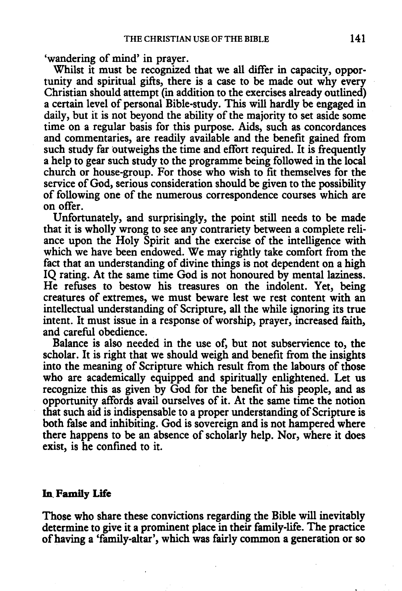'wandering of mind' in prayer.

Whilst it must be recognized that we all differ in capacity, opportunity and spiritual gifts, there is a case to be made out why every Christian should attempt (in addition to the exercises already outlined) a certain level of personal Bible-study. This will hardly be engaged in daily, but it is not beyond the ability of the majority to set aside some time on a regular basis for this purpose. Aids, such as concordances and commentaries, are readily available and the benefit gained from such study far outweighs the time and effort required. It is frequently a help to gear such study to the programme being followed in the local church or house-group. For those who wish to fit themselves for the service of God, serious consideration should be given to the possibility of following one of the numerous correspondence courses which are on offer.

Unfortunately, and surprisingly, the point still needs to be made that it is wholly wrong to see any contrariety between a complete reliance upon the Holy Spirit and the exercise of the intelligence with which we have been endowed. We may rightly take comfort from the fact that an understanding of divine things is not dependent on a high IQ rating. At the same time God is not honoured by mental laziness. He refuses to bestow his treasures on the indolent. Yet, being creatures of extremes, we must beware lest we rest content with an intellectual understanding of Scripture, all the while ignoring its true intent. It must issue in a response of worship, prayer, increased faith, and careful obedience.

Balance is also needed in the use of, but not subservience to, the scholar. It is right that we should weigh and benefit from the insights into the meaning of Scripture which result from the labours of those who are academically equipped and spiritually enlightened. Let us recognize this as given by God for the benefit of his people, and as opportunity affords avail ourselves of it. At the same time the notion that such aid is indispensable to a proper understanding of Scripture is both false and inhibiting. God is sovereign and is not hampered where there happens to be an absence of scholarly help. Nor, where it does exist, is he confined to it.

## In. **Family Life**

Those who share these convictions regarding the Bible will inevitably determine to give it a prominent place in their family-life. The practice of having a 'family-altar', which was fairly common a generation or so